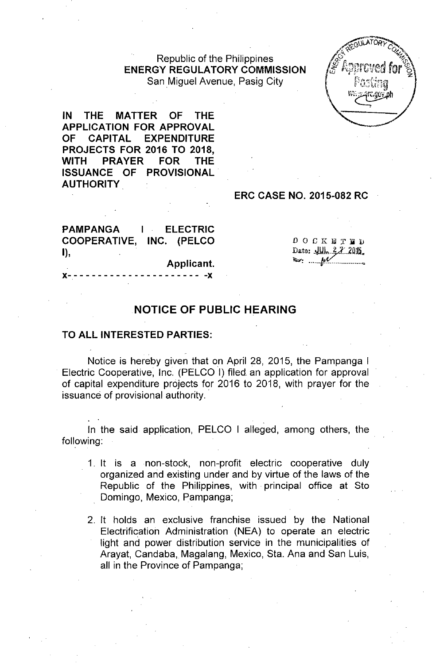# Republic of the Philippines **ENERGY REGULATORY COMMISSION** San Miguel Avenue, Pasig City

**IN THE MATTER OF THE APPLICATION FOR APPROVAL OF CAPITAL EXPENDITURE PROJECTS FOR 2016 TO 2018, WITH PRAYER FOR THE ISSUANCE OF PROVISIONAL. AUTHORITY**

### **ERC CASE NO. 2015-082 RC**

**PAMPANGA COOPERATIVE, INC. (PELCO** I), **I ELECTRIC**

 $0 0 0 K B T B D$ Date:  $\frac{1}{2}$   $\frac{2}{105}$  $\leftrightarrow$   $\mathcal{M}$ 

### **Applicant.**

# x- - - - - - - - - - - - - - - - - - - - - - -x

# **NOTICE OF PUBLIC HEARING**

### **TO ALL INTERESTED PARTIES:**

. Notice is hereby given that on April 28, 2015, the Pampanga I Electric Cooperative, Inc. (PELCO I) filed an application for approval of capital expenditure projects for 2016 to 2018, with prayer for the issuance of provisional authority.

In the said application, PELCO I alleged, among others, the following:

- 1. It is a non-stock, non-profit electric cooperative duly organized and existing under and by virtue of the laws of the Republic of the Philippines, with principal office at Sto Domingo, Mexico, Pampanga;
- 2. It holds an exclusive franchise issued by the National Electrification Administration (NEA) to operate an electric light and power distribution service in the municipalities of Arayat, Candaba, Magalang, Mexico, Sta. Ana and San Luis, all in the Province of Pampanga;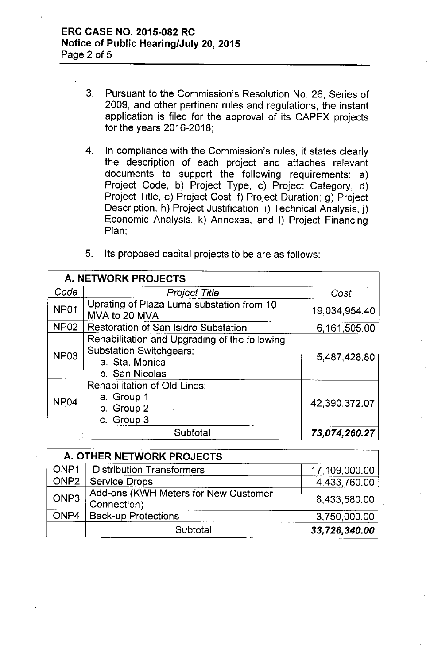- 3. Pursuant to the Commission's Resolution No. 26, Series of 2009, and other pertinent rules and regulations, the instant application is filed for the approval of its CAPEX projects for the years 2016-2018;
- 4. In compliance with the Commission's rules, it states clearly the description of each project and attaches relevant documents to support the following requirements: a) Project Code, b) Project Type, c) Project Category, d) Project Title, e) Project Cost, f) Project Duration; g) Project Description, h) Project Justification, i) Technical Analysis, j) Economic Analysis, k) Annexes, and I) Project Financing Plan;

| <b>A. NETWORK PROJECTS</b> |                                                                                                                     |               |  |  |  |
|----------------------------|---------------------------------------------------------------------------------------------------------------------|---------------|--|--|--|
| Code                       | <b>Project Title</b>                                                                                                | Cost          |  |  |  |
| NP01                       | Uprating of Plaza Luma substation from 10<br>MVA to 20 MVA                                                          | 19,034,954.40 |  |  |  |
| <b>NP02</b>                | <b>Restoration of San Isidro Substation</b>                                                                         | 6,161,505.00  |  |  |  |
| NP <sub>03</sub>           | Rehabilitation and Upgrading of the following<br><b>Substation Switchgears:</b><br>a. Sta. Monica<br>b. San Nicolas | 5,487,428.80  |  |  |  |
| NP <sub>04</sub>           | <b>Rehabilitation of Old Lines:</b><br>a. Group 1<br>b. Group 2<br>c. Group 3                                       | 42,390,372.07 |  |  |  |
|                            | Subtotal                                                                                                            | 73,074,260.27 |  |  |  |

| 5. | Its proposed capital projects to be are as follows: |  |  |  |  |  |
|----|-----------------------------------------------------|--|--|--|--|--|
|----|-----------------------------------------------------|--|--|--|--|--|

| A. OTHER NETWORK PROJECTS |                                                     |               |  |  |  |
|---------------------------|-----------------------------------------------------|---------------|--|--|--|
| ONP <sub>1</sub>          | <b>Distribution Transformers</b>                    | 17,109,000.00 |  |  |  |
| ONP <sub>2</sub>          | Service Drops                                       | 4,433,760.00  |  |  |  |
| ONP3                      | Add-ons (KWH Meters for New Customer<br>Connection) | 8,433,580.00  |  |  |  |
| ONP4                      | <b>Back-up Protections</b>                          | 3,750,000.00  |  |  |  |
|                           | Subtotal                                            | 33,726,340.00 |  |  |  |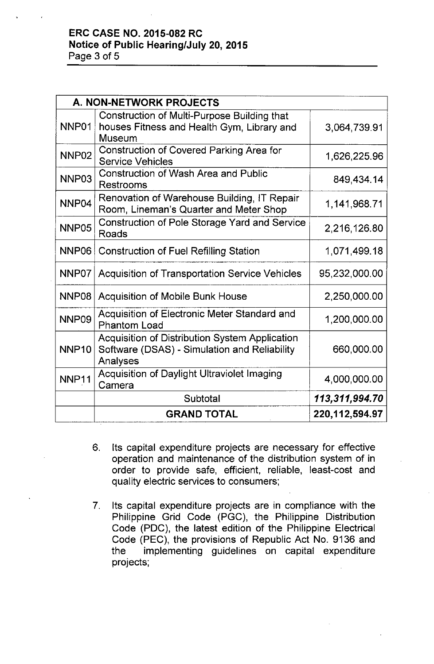# **ERC CASE NO. 2015-082 RC Notice of Public Hearing/July 20,2015** Page 3 of 5

| A. NON-NETWORK PROJECTS |                                                                                                                   |                   |  |  |  |  |
|-------------------------|-------------------------------------------------------------------------------------------------------------------|-------------------|--|--|--|--|
| NNP01                   | Construction of Multi-Purpose Building that<br>houses Fitness and Health Gym, Library and<br>Museum               | 3,064,739.91      |  |  |  |  |
| NNP <sub>02</sub>       | Construction of Covered Parking Area for<br><b>Service Vehicles</b>                                               | 1,626,225.96      |  |  |  |  |
| NNP03                   | <b>Construction of Wash Area and Public</b><br>Restrooms                                                          | 849,434.14        |  |  |  |  |
| NNP <sub>04</sub>       | Renovation of Warehouse Building, IT Repair<br>Room, Lineman's Quarter and Meter Shop                             | 1,141,968.71      |  |  |  |  |
| NNP05                   | Construction of Pole Storage Yard and Service<br>Roads                                                            | 2,216,126.80      |  |  |  |  |
| NNP06                   | <b>Construction of Fuel Refilling Station</b>                                                                     | 1,071,499.18      |  |  |  |  |
| NNP07                   | <b>Acquisition of Transportation Service Vehicles</b>                                                             | 95,232,000.00     |  |  |  |  |
| NNP <sub>08</sub>       | <b>Acquisition of Mobile Bunk House</b>                                                                           | 2,250,000.00      |  |  |  |  |
| NNP09                   | Acquisition of Electronic Meter Standard and<br><b>Phantom Load</b>                                               | 1,200,000.00      |  |  |  |  |
| NNP <sub>10</sub>       | <b>Acquisition of Distribution System Application</b><br>Software (DSAS) - Simulation and Reliability<br>Analyses | 660,000.00        |  |  |  |  |
| NNP11                   | Acquisition of Daylight Ultraviolet Imaging<br>Camera                                                             | 4,000,000.00      |  |  |  |  |
|                         | Subtotal                                                                                                          | 113,311,994.70    |  |  |  |  |
|                         | <b>GRAND TOTAL</b>                                                                                                | 220, 112, 594. 97 |  |  |  |  |

- 6. Its capital expenditure projects are necessary for effective operation and maintenance of the distribution system of in order to provide safe, efficient, reliable, least-cost and quality electric services to consumers;
- 7. Its capital expenditure projects are in compliance with the Philippine Grid Code (PGC), the Philippine Distribution Code (PDC), the latest edition of the Philippine Electrical Code (PEC), the provisions of Republic Act No. 9136 and the implementing guidelines on capital expenditure projects;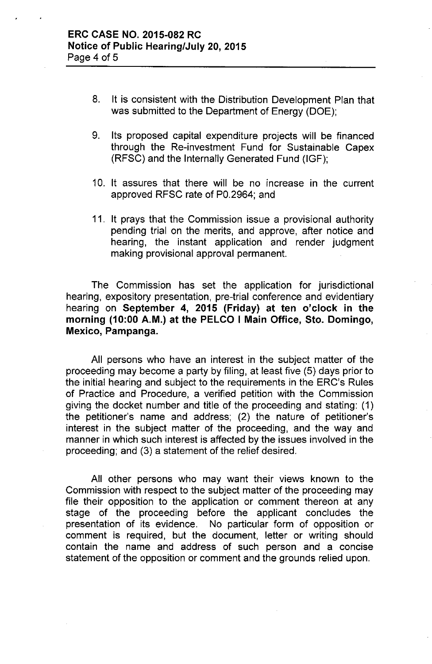- 8. It is consistent with the Distribution Development Plan that was submitted to the Department of Energy (DOE);
- 9. Its proposed capital expenditure projects will be financed through the Re-investment Fund for Sustainable Capex (RFSC) and the Internally Generated Fund (IGF);
- 10. It assures that there will be no increase in the current approved RFSC rate of PO.2964; and
- 11. It prays that the Commission issue a provisional authority pending trial on the merits, and approve, after notice and hearing, the instant application and render judgment making provisional approval permanent.

The Commission has set the application for jurisdictional hearing, expository presentation, pre-trial conference and evidentiary hearing on **September 4, 2015 (Friday) at ten o'clock in the morning (10:00 A.M.) at the PELCO I Main Office, Sto. Domingo, Mexico, Pampanga.**

**All** persons who have an interest in the subject matter of the proceeding may become a party by filing, at least five (5) days prior to the initial hearing and subject to the requirements in the ERC's Rules of Practice and Procedure, a verified petition with the Commission giving the docket number and title of the proceeding and stating: (1) the petitioner's name and address; (2) the nature of petitioner's interest in the subject matter of the proceeding, and the way and manner in which such interest is affected by the issues involved in the proceeding; and (3) a statement of the relief desired.

All other persons who may want their views known to the Commission with respect to the subject matter of the proceeding may file their opposition to the application or comment thereon at any stage of the proceeding before the applicant concludes the presentation of its evidence. No particular form of opposition or comment is required, but the document, letter or writing should contain the name and address of such person and a concise statement of the opposition or comment and the grounds relied upon.